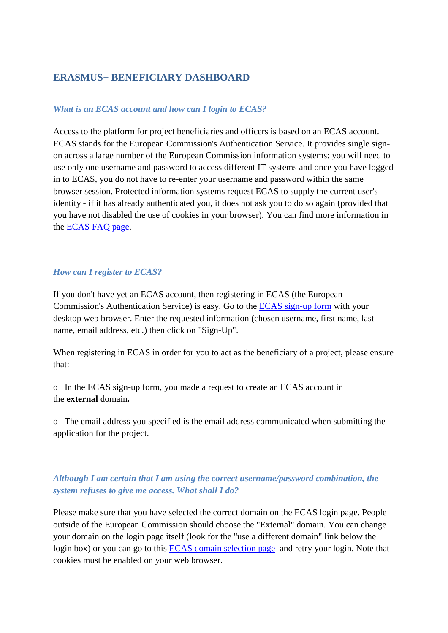# **ERASMUS+ BENEFICIARY DASHBOARD**

### *What is an ECAS account and how can I login to ECAS?*

Access to the platform for project beneficiaries and officers is based on an ECAS account. ECAS stands for the European Commission's Authentication Service. It provides single signon across a large number of the European Commission information systems: you will need to use only one username and password to access different IT systems and once you have logged in to ECAS, you do not have to re-enter your username and password within the same browser session. Protected information systems request ECAS to supply the current user's identity - if it has already authenticated you, it does not ask you to do so again (provided that you have not disabled the use of cookies in your browser). You can find more information in the [ECAS FAQ page.](https://webgate.ec.europa.eu/cas/help.html)

## *How can I register to ECAS?*

If you don't have yet an ECAS account, then registering in ECAS (the European Commission's Authentication Service) is easy. Go to the [ECAS sign-up form](https://webgate.ec.europa.eu/cas/eim/external/register.cgi?) with your desktop web browser. Enter the requested information (chosen username, first name, last name, email address, etc.) then click on "Sign-Up".

When registering in ECAS in order for you to act as the beneficiary of a project, please ensure that:

o In the ECAS sign-up form, you made a request to create an ECAS account in the **external** domain**.**

o The email address you specified is the email address communicated when submitting the application for the project.

## *Although I am certain that I am using the correct username/password combination, the system refuses to give me access. What shall I do?*

Please make sure that you have selected the correct domain on the ECAS login page. People outside of the European Commission should choose the "External" domain. You can change your domain on the login page itself (look for the "use a different domain" link below the login box) or you can go to this [ECAS domain selection page](https://webgate.ec.europa.eu/cas/wayf) and retry your login. Note that cookies must be enabled on your web browser.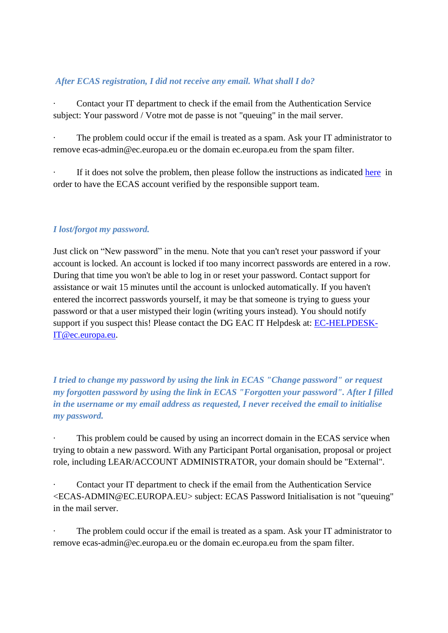## *After ECAS registration, I did not receive any email. What shall I do?*

· Contact your IT department to check if the email from the Authentication Service subject: Your password / Votre mot de passe is not "queuing" in the mail server.

The problem could occur if the email is treated as a spam. Ask your IT administrator to remove ecas-admin@ec.europa.eu or the domain ec.europa.eu from the spam filter.

If it does not solve the problem, then please follow the instructions as indicated [here](https://ecas.ec.europa.eu/cas/contact.html) in order to have the ECAS account verified by the responsible support team.

### *I lost/forgot my password.*

Just click on "New password" in the menu. Note that you can't reset your password if your account is locked. An account is locked if too many incorrect passwords are entered in a row. During that time you won't be able to log in or reset your password. Contact support for assistance or wait 15 minutes until the account is unlocked automatically. If you haven't entered the incorrect passwords yourself, it may be that someone is trying to guess your password or that a user mistyped their login (writing yours instead). You should notify support if you suspect this! Please contact the DG EAC IT Helpdesk at: **[EC-HELPDESK-](mailto:EC-HELPDESK-IT@ec.europa.eu)**[IT@ec.europa.eu.](mailto:EC-HELPDESK-IT@ec.europa.eu)

*I tried to change my password by using the link in ECAS "Change password" or request my forgotten password by using the link in ECAS "Forgotten your password". After I filled in the username or my email address as requested, I never received the email to initialise my password.*

This problem could be caused by using an incorrect domain in the ECAS service when trying to obtain a new password. With any Participant Portal organisation, proposal or project role, including LEAR/ACCOUNT ADMINISTRATOR, your domain should be "External".

Contact your IT department to check if the email from the Authentication Service <ECAS-ADMIN@EC.EUROPA.EU> subject: ECAS Password Initialisation is not "queuing" in the mail server.

The problem could occur if the email is treated as a spam. Ask your IT administrator to remove ecas-admin@ec.europa.eu or the domain ec.europa.eu from the spam filter.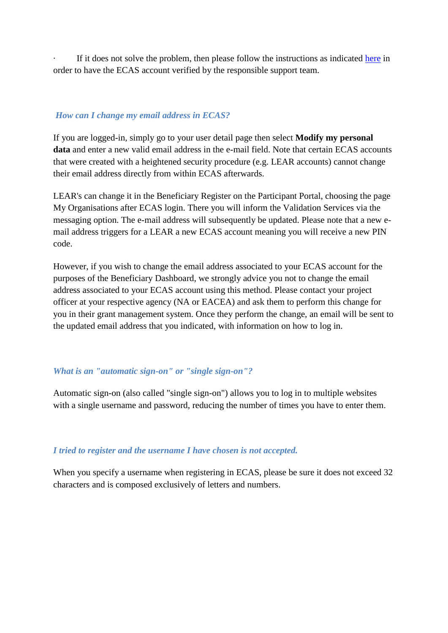If it does not solve the problem, then please follow the instructions as indicated [here](https://ecas.ec.europa.eu/cas/contact.html) in order to have the ECAS account verified by the responsible support team.

### *How can I change my email address in ECAS?*

If you are logged-in, simply go to your user detail page then select **Modify my personal data** and enter a new valid email address in the e-mail field. Note that certain ECAS accounts that were created with a heightened security procedure (e.g. LEAR accounts) cannot change their email address directly from within ECAS afterwards.

LEAR's can change it in the Beneficiary Register on the Participant Portal, choosing the page My Organisations after ECAS login. There you will inform the Validation Services via the messaging option. The e-mail address will subsequently be updated. Please note that a new email address triggers for a LEAR a new ECAS account meaning you will receive a new PIN code.

However, if you wish to change the email address associated to your ECAS account for the purposes of the Beneficiary Dashboard, we strongly advice you not to change the email address associated to your ECAS account using this method. Please contact your project officer at your respective agency (NA or EACEA) and ask them to perform this change for you in their grant management system. Once they perform the change, an email will be sent to the updated email address that you indicated, with information on how to log in.

### *What is an "automatic sign-on" or "single sign-on"?*

Automatic sign-on (also called "single sign-on") allows you to log in to multiple websites with a single username and password, reducing the number of times you have to enter them.

### *I tried to register and the username I have chosen is not accepted.*

When you specify a username when registering in ECAS, please be sure it does not exceed 32 characters and is composed exclusively of letters and numbers.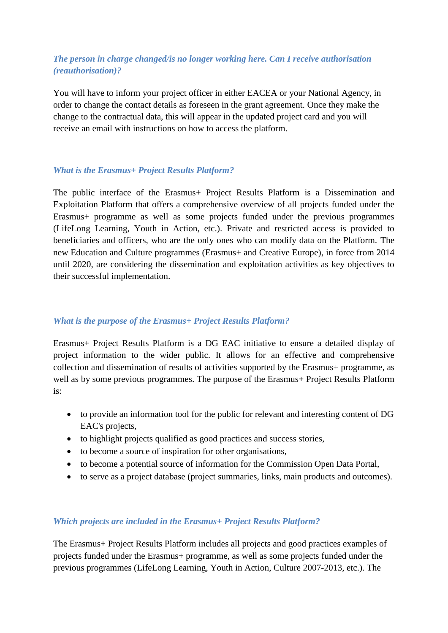# *The person in charge changed/is no longer working here. Can I receive authorisation (reauthorisation)?*

You will have to inform your project officer in either EACEA or your National Agency, in order to change the contact details as foreseen in the grant agreement. Once they make the change to the contractual data, this will appear in the updated project card and you will receive an email with instructions on how to access the platform.

### *What is the Erasmus+ Project Results Platform?*

The public interface of the Erasmus+ Project Results Platform is a Dissemination and Exploitation Platform that offers a comprehensive overview of all projects funded under the Erasmus+ programme as well as some projects funded under the previous programmes (LifeLong Learning, Youth in Action, etc.). Private and restricted access is provided to beneficiaries and officers, who are the only ones who can modify data on the Platform. The new Education and Culture programmes (Erasmus+ and Creative Europe), in force from 2014 until 2020, are considering the dissemination and exploitation activities as key objectives to their successful implementation.

### *What is the purpose of the Erasmus+ Project Results Platform?*

Erasmus+ Project Results Platform is a DG EAC initiative to ensure a detailed display of project information to the wider public. It allows for an effective and comprehensive collection and dissemination of results of activities supported by the Erasmus+ programme, as well as by some previous programmes. The purpose of the Erasmus+ Project Results Platform is:

- to provide an information tool for the public for relevant and interesting content of DG EAC's projects,
- to highlight projects qualified as good practices and success stories,
- to become a source of inspiration for other organisations,
- to become a potential source of information for the Commission Open Data Portal,
- to serve as a project database (project summaries, links, main products and outcomes).

### *Which projects are included in the Erasmus+ Project Results Platform?*

The Erasmus+ Project Results Platform includes all projects and good practices examples of projects funded under the Erasmus+ programme, as well as some projects funded under the previous programmes (LifeLong Learning, Youth in Action, Culture 2007-2013, etc.). The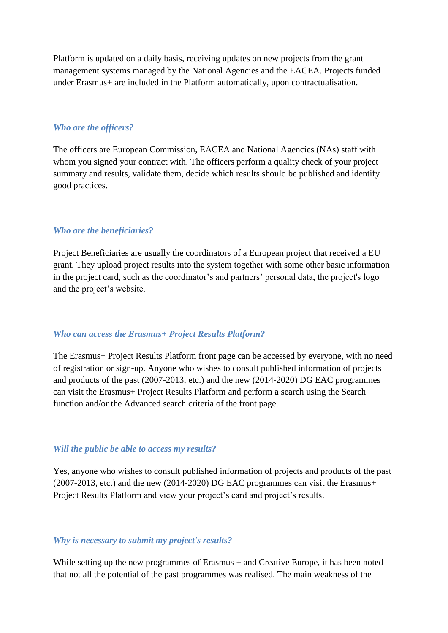Platform is updated on a daily basis, receiving updates on new projects from the grant management systems managed by the National Agencies and the EACEA. Projects funded under Erasmus+ are included in the Platform automatically, upon contractualisation.

#### *Who are the officers?*

The officers are European Commission, EACEA and National Agencies (NAs) staff with whom you signed your contract with. The officers perform a quality check of your project summary and results, validate them, decide which results should be published and identify good practices.

#### *Who are the beneficiaries?*

Project Beneficiaries are usually the coordinators of a European project that received a EU grant. They upload project results into the system together with some other basic information in the project card, such as the coordinator's and partners' personal data, the project's logo and the project's website.

#### *Who can access the Erasmus+ Project Results Platform?*

The Erasmus+ Project Results Platform front page can be accessed by everyone, with no need of registration or sign-up. Anyone who wishes to consult published information of projects and products of the past (2007-2013, etc.) and the new (2014-2020) DG EAC programmes can visit the Erasmus+ Project Results Platform and perform a search using the Search function and/or the Advanced search criteria of the front page.

#### *Will the public be able to access my results?*

Yes, anyone who wishes to consult published information of projects and products of the past (2007-2013, etc.) and the new (2014-2020) DG EAC programmes can visit the Erasmus+ Project Results Platform and view your project's card and project's results.

#### *Why is necessary to submit my project's results?*

While setting up the new programmes of Erasmus + and Creative Europe, it has been noted that not all the potential of the past programmes was realised. The main weakness of the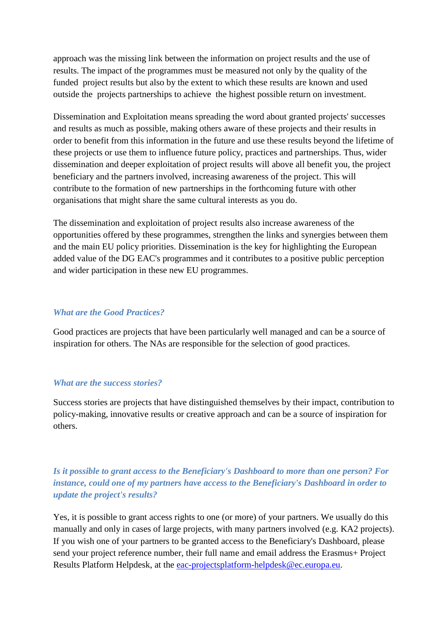approach was the missing link between the information on project results and the use of results. The impact of the programmes must be measured not only by the quality of the funded project results but also by the extent to which these results are known and used outside the projects partnerships to achieve the highest possible return on investment.

Dissemination and Exploitation means spreading the word about granted projects' successes and results as much as possible, making others aware of these projects and their results in order to benefit from this information in the future and use these results beyond the lifetime of these projects or use them to influence future policy, practices and partnerships. Thus, wider dissemination and deeper exploitation of project results will above all benefit you, the project beneficiary and the partners involved, increasing awareness of the project. This will contribute to the formation of new partnerships in the forthcoming future with other organisations that might share the same cultural interests as you do.

The dissemination and exploitation of project results also increase awareness of the opportunities offered by these programmes, strengthen the links and synergies between them and the main EU policy priorities. Dissemination is the key for highlighting the European added value of the DG EAC's programmes and it contributes to a positive public perception and wider participation in these new EU programmes.

#### *What are the Good Practices?*

Good practices are projects that have been particularly well managed and can be a source of inspiration for others. The NAs are responsible for the selection of good practices.

#### *What are the success stories?*

Success stories are projects that have distinguished themselves by their impact, contribution to policy-making, innovative results or creative approach and can be a source of inspiration for others.

# *Is it possible to grant access to the Beneficiary's Dashboard to more than one person? For instance, could one of my partners have access to the Beneficiary's Dashboard in order to update the project's results?*

Yes, it is possible to grant access rights to one (or more) of your partners. We usually do this manually and only in cases of large projects, with many partners involved (e.g. KA2 projects). If you wish one of your partners to be granted access to the Beneficiary's Dashboard, please send your project reference number, their full name and email address the Erasmus+ Project Results Platform Helpdesk, at the [eac-projectsplatform-helpdesk@ec.europa.eu.](mailto:eac-projectsplatform-helpdesk@ec.europa.eu)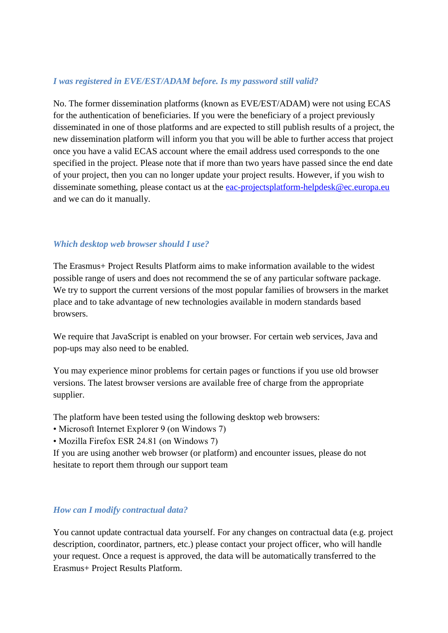### *I was registered in EVE/EST/ADAM before. Is my password still valid?*

No. The former dissemination platforms (known as EVE/EST/ADAM) were not using ECAS for the authentication of beneficiaries. If you were the beneficiary of a project previously disseminated in one of those platforms and are expected to still publish results of a project, the new dissemination platform will inform you that you will be able to further access that project once you have a valid ECAS account where the email address used corresponds to the one specified in the project. Please note that if more than two years have passed since the end date of your project, then you can no longer update your project results. However, if you wish to disseminate something, please contact us at the [eac-projectsplatform-helpdesk@ec.europa.eu](mailto:eac-projectsplatform-helpdesk@ec.europa.eu) and we can do it manually.

### *Which desktop web browser should I use?*

The Erasmus+ Project Results Platform aims to make information available to the widest possible range of users and does not recommend the se of any particular software package. We try to support the current versions of the most popular families of browsers in the market place and to take advantage of new technologies available in modern standards based browsers.

We require that JavaScript is enabled on your browser. For certain web services, Java and pop-ups may also need to be enabled.

You may experience minor problems for certain pages or functions if you use old browser versions. The latest browser versions are available free of charge from the appropriate supplier.

The platform have been tested using the following desktop web browsers:

- Microsoft Internet Explorer 9 (on Windows 7)
- Mozilla Firefox ESR 24.81 (on Windows 7)

If you are using another web browser (or platform) and encounter issues, please do not hesitate to report them through our support team

### *How can I modify contractual data?*

You cannot update contractual data yourself. For any changes on contractual data (e.g. project description, coordinator, partners, etc.) please contact your project officer, who will handle your request. Once a request is approved, the data will be automatically transferred to the Erasmus+ Project Results Platform.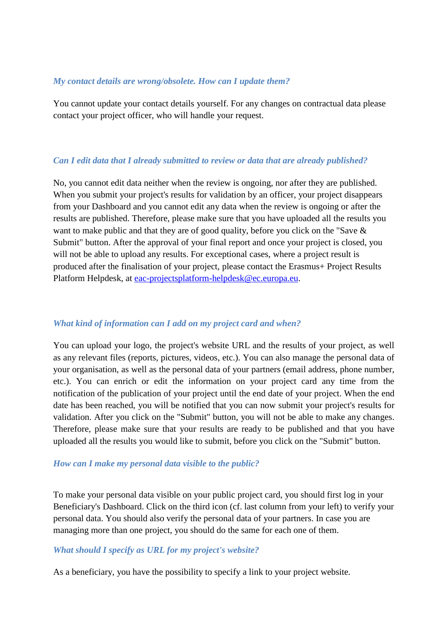#### *My contact details are wrong/obsolete. How can I update them?*

You cannot update your contact details yourself. For any changes on contractual data please contact your project officer, who will handle your request.

#### *Can I edit data that I already submitted to review or data that are already published?*

No, you cannot edit data neither when the review is ongoing, nor after they are published. When you submit your project's results for validation by an officer, your project disappears from your Dashboard and you cannot edit any data when the review is ongoing or after the results are published. Therefore, please make sure that you have uploaded all the results you want to make public and that they are of good quality, before you click on the "Save & Submit" button. After the approval of your final report and once your project is closed, you will not be able to upload any results. For exceptional cases, where a project result is produced after the finalisation of your project, please contact the Erasmus+ Project Results Platform Helpdesk, at [eac-projectsplatform-helpdesk@ec.europa.eu.](mailto:eac-projectsplatform-helpdesk@ec.europa.eu)

### *What kind of information can I add on my project card and when?*

You can upload your logo, the project's website URL and the results of your project, as well as any relevant files (reports, pictures, videos, etc.). You can also manage the personal data of your organisation, as well as the personal data of your partners (email address, phone number, etc.). You can enrich or edit the information on your project card any time from the notification of the publication of your project until the end date of your project. When the end date has been reached, you will be notified that you can now submit your project's results for validation. After you click on the "Submit" button, you will not be able to make any changes. Therefore, please make sure that your results are ready to be published and that you have uploaded all the results you would like to submit, before you click on the "Submit" button.

#### *How can I make my personal data visible to the public?*

To make your personal data visible on your public project card, you should first log in your Beneficiary's Dashboard. Click on the third icon (cf. last column from your left) to verify your personal data. You should also verify the personal data of your partners. In case you are managing more than one project, you should do the same for each one of them.

### *What should I specify as URL for my project's website?*

As a beneficiary, you have the possibility to specify a link to your project website.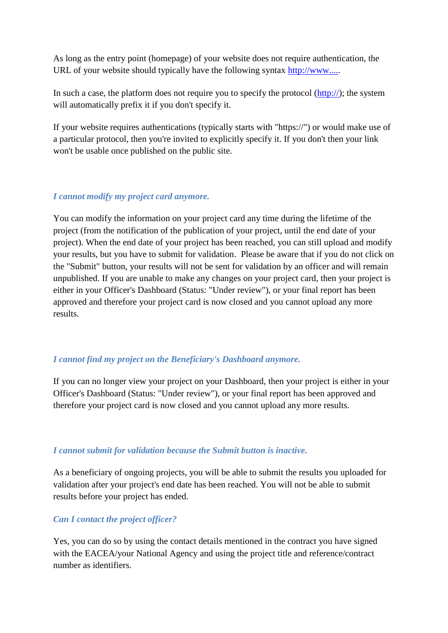As long as the entry point (homepage) of your website does not require authentication, the URL of your website should typically have the following syntax [http://www.....](http://www..../)

In such a case, the platform does not require you to specify the protocol [\(http://\)](https://webgate.ec.europa.eu/education_culture/dissemination/share/page/site/promoterscreativeeurope/http:); the system will automatically prefix it if you don't specify it.

If your website requires authentications (typically starts with "https://") or would make use of a particular protocol, then you're invited to explicitly specify it. If you don't then your link won't be usable once published on the public site.

### *I cannot modify my project card anymore.*

You can modify the information on your project card any time during the lifetime of the project (from the notification of the publication of your project, until the end date of your project). When the end date of your project has been reached, you can still upload and modify your results, but you have to submit for validation. Please be aware that if you do not click on the "Submit" button, your results will not be sent for validation by an officer and will remain unpublished. If you are unable to make any changes on your project card, then your project is either in your Officer's Dashboard (Status: "Under review"), or your final report has been approved and therefore your project card is now closed and you cannot upload any more results.

### *I cannot find my project on the Beneficiary's Dashboard anymore.*

If you can no longer view your project on your Dashboard, then your project is either in your Officer's Dashboard (Status: "Under review"), or your final report has been approved and therefore your project card is now closed and you cannot upload any more results.

### *I cannot submit for validation because the Submit button is inactive.*

As a beneficiary of ongoing projects, you will be able to submit the results you uploaded for validation after your project's end date has been reached. You will not be able to submit results before your project has ended.

### *Can I contact the project officer?*

Yes, you can do so by using the contact details mentioned in the contract you have signed with the EACEA/your National Agency and using the project title and reference/contract number as identifiers.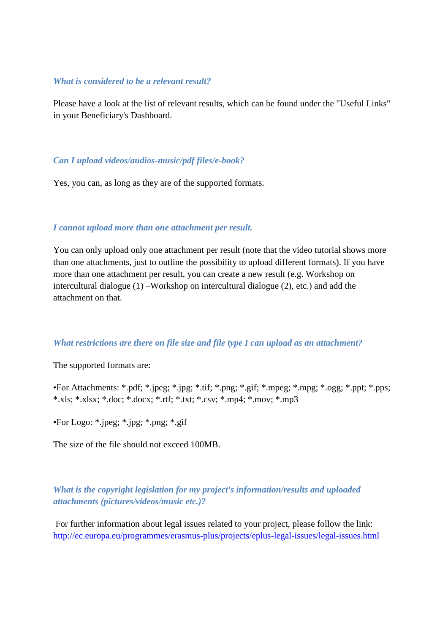#### *What is considered to be a relevant result?*

Please have a look at the list of relevant results, which can be found under the "Useful Links" in your Beneficiary's Dashboard.

#### *Can I upload videos/audios-music/pdf files/e-book?*

Yes, you can, as long as they are of the supported formats.

#### *I cannot upload more than one attachment per result.*

You can only upload only one attachment per result (note that the video tutorial shows more than one attachments, just to outline the possibility to upload different formats). If you have more than one attachment per result, you can create a new result (e.g. Workshop on intercultural dialogue (1) –Workshop on intercultural dialogue (2), etc.) and add the attachment on that.

#### *What restrictions are there on file size and file type I can upload as an attachment?*

The supported formats are:

•For Attachments: \*.pdf; \*.jpeg; \*.jpg; \*.tif; \*.png; \*.gif; \*.mpeg; \*.mpg; \*.ogg; \*.ppt; \*.pps; \*.xls; \*.xlsx; \*.doc; \*.docx; \*.rtf; \*.txt; \*.csv; \*.mp4; \*.mov; \*.mp3

•For Logo: \*.jpeg; \*.jpg; \*.png; \*.gif

The size of the file should not exceed 100MB.

## *What is the copyright legislation for my project's information/results and uploaded attachments (pictures/videos/music etc.)?*

For further information about legal issues related to your project, please follow the link: <http://ec.europa.eu/programmes/erasmus-plus/projects/eplus-legal-issues/legal-issues.html>